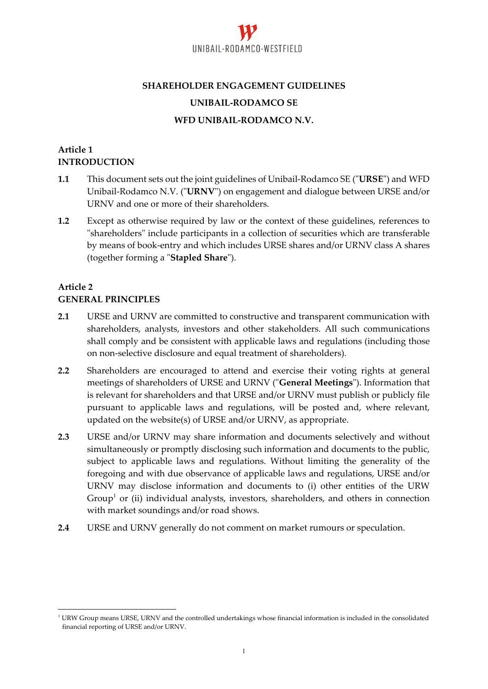

# **SHAREHOLDER ENGAGEMENT GUIDELINES UNIBAIL‐RODAMCO SE WFD UNIBAIL‐RODAMCO N.V.**

#### **Article 1 INTRODUCTION**

- **1.1** This document sets out the joint guidelines of Unibail-Rodamco SE ("URSE") and WFD Unibail-Rodamco N.V. ("URNV") on engagement and dialogue between URSE and/or URNV and one or more of their shareholders.
- **1.2** Except as otherwise required by law or the context of these guidelines, references to "shareholders" include participants in a collection of securities which are transferable by means of book‐entry and which includes URSE shares and/or URNV class A shares (together forming a "Stapled Share").

#### **Article 2 GENERAL PRINCIPLES**

1

- **2.1** URSE and URNV are committed to constructive and transparent communication with shareholders, analysts, investors and other stakeholders. All such communications shall comply and be consistent with applicable laws and regulations (including those on non‐selective disclosure and equal treatment of shareholders).
- **2.2** Shareholders are encouraged to attend and exercise their voting rights at general meetings of shareholders of URSE and URNV (ʺ**General Meetings**ʺ). Information that is relevant for shareholders and that URSE and/or URNV must publish or publicly file pursuant to applicable laws and regulations, will be posted and, where relevant, updated on the website(s) of URSE and/or URNV, as appropriate.
- **2.3** URSE and/or URNV may share information and documents selectively and without simultaneously or promptly disclosing such information and documents to the public, subject to applicable laws and regulations. Without limiting the generality of the foregoing and with due observance of applicable laws and regulations, URSE and/or URNV may disclose information and documents to (i) other entities of the URW Group<sup>1</sup> or (ii) individual analysts, investors, shareholders, and others in connection with market soundings and/or road shows.
- **2.4** URSE and URNV generally do not comment on market rumours or speculation.

<sup>&</sup>lt;sup>1</sup> URW Group means URSE, URNV and the controlled undertakings whose financial information is included in the consolidated financial reporting of URSE and/or URNV.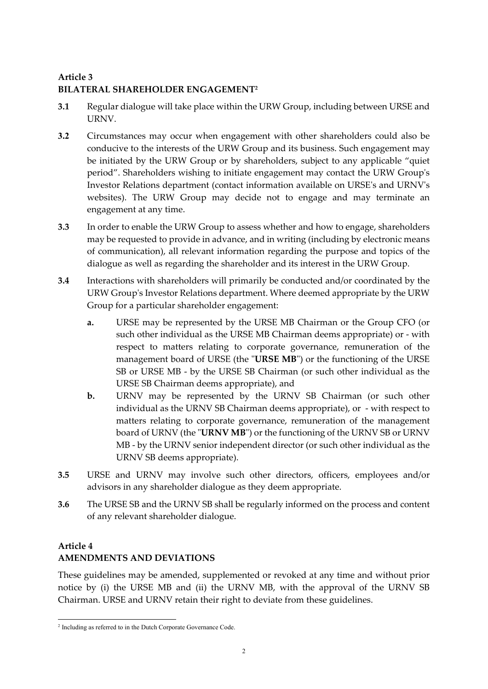## **Article 3 BILATERAL SHAREHOLDER ENGAGEMENT2**

- **3.1** Regular dialogue will take place within the URW Group, including between URSE and URNV.
- **3.2** Circumstances may occur when engagement with other shareholders could also be conducive to the interests of the URW Group and its business. Such engagement may be initiated by the URW Group or by shareholders, subject to any applicable "quiet period". Shareholders wishing to initiate engagement may contact the URW Groupʹs Investor Relations department (contact information available on URSEʹs and URNVʹs websites). The URW Group may decide not to engage and may terminate an engagement at any time.
- **3.3** In order to enable the URW Group to assess whether and how to engage, shareholders may be requested to provide in advance, and in writing (including by electronic means of communication), all relevant information regarding the purpose and topics of the dialogue as well as regarding the shareholder and its interest in the URW Group.
- **3.4** Interactions with shareholders will primarily be conducted and/or coordinated by the URW Groupʹs Investor Relations department. Where deemed appropriate by the URW Group for a particular shareholder engagement:
	- **a.** URSE may be represented by the URSE MB Chairman or the Group CFO (or such other individual as the URSE MB Chairman deems appropriate) or ‐ with respect to matters relating to corporate governance, remuneration of the management board of URSE (the "URSE MB") or the functioning of the URSE SB or URSE MB ‐ by the URSE SB Chairman (or such other individual as the URSE SB Chairman deems appropriate), and
	- **b.** URNV may be represented by the URNV SB Chairman (or such other individual as the URNV SB Chairman deems appropriate), or ‐ with respect to matters relating to corporate governance, remuneration of the management board of URNV (the "URNV MB") or the functioning of the URNV SB or URNV MB ‐ by the URNV senior independent director (or such other individual as the URNV SB deems appropriate).
- **3.5** URSE and URNV may involve such other directors, officers, employees and/or advisors in any shareholder dialogue as they deem appropriate.
- **3.6** The URSE SB and the URNV SB shall be regularly informed on the process and content of any relevant shareholder dialogue.

# **Article 4**

# **AMENDMENTS AND DEVIATIONS**

These guidelines may be amended, supplemented or revoked at any time and without prior notice by (i) the URSE MB and (ii) the URNV MB, with the approval of the URNV SB Chairman. URSE and URNV retain their right to deviate from these guidelines.

<sup>1</sup> 2 Including as referred to in the Dutch Corporate Governance Code.